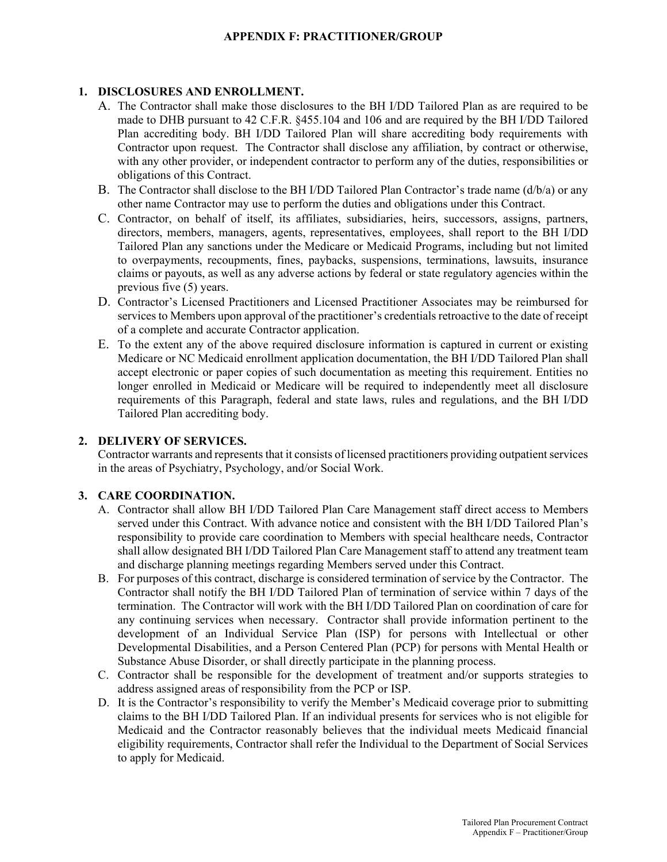## **APPENDIX F: PRACTITIONER/GROUP**

## **1. DISCLOSURES AND ENROLLMENT.**

- A. The Contractor shall make those disclosures to the BH I/DD Tailored Plan as are required to be made to DHB pursuant to 42 C.F.R. §455.104 and 106 and are required by the BH I/DD Tailored Plan accrediting body. BH I/DD Tailored Plan will share accrediting body requirements with Contractor upon request. The Contractor shall disclose any affiliation, by contract or otherwise, with any other provider, or independent contractor to perform any of the duties, responsibilities or obligations of this Contract.
- B. The Contractor shall disclose to the BH I/DD Tailored Plan Contractor's trade name (d/b/a) or any other name Contractor may use to perform the duties and obligations under this Contract.
- C. Contractor, on behalf of itself, its affiliates, subsidiaries, heirs, successors, assigns, partners, directors, members, managers, agents, representatives, employees, shall report to the BH I/DD Tailored Plan any sanctions under the Medicare or Medicaid Programs, including but not limited to overpayments, recoupments, fines, paybacks, suspensions, terminations, lawsuits, insurance claims or payouts, as well as any adverse actions by federal or state regulatory agencies within the previous five (5) years.
- D. Contractor's Licensed Practitioners and Licensed Practitioner Associates may be reimbursed for services to Members upon approval of the practitioner's credentials retroactive to the date of receipt of a complete and accurate Contractor application.
- E. To the extent any of the above required disclosure information is captured in current or existing Medicare or NC Medicaid enrollment application documentation, the BH I/DD Tailored Plan shall accept electronic or paper copies of such documentation as meeting this requirement. Entities no longer enrolled in Medicaid or Medicare will be required to independently meet all disclosure requirements of this Paragraph, federal and state laws, rules and regulations, and the BH I/DD Tailored Plan accrediting body.

#### **2. DELIVERY OF SERVICES.**

Contractor warrants and represents that it consists of licensed practitioners providing outpatient services in the areas of Psychiatry, Psychology, and/or Social Work.

## **3. CARE COORDINATION.**

- A. Contractor shall allow BH I/DD Tailored Plan Care Management staff direct access to Members served under this Contract. With advance notice and consistent with the BH I/DD Tailored Plan's responsibility to provide care coordination to Members with special healthcare needs, Contractor shall allow designated BH I/DD Tailored Plan Care Management staff to attend any treatment team and discharge planning meetings regarding Members served under this Contract.
- B. For purposes of this contract, discharge is considered termination of service by the Contractor. The Contractor shall notify the BH I/DD Tailored Plan of termination of service within 7 days of the termination. The Contractor will work with the BH I/DD Tailored Plan on coordination of care for any continuing services when necessary. Contractor shall provide information pertinent to the development of an Individual Service Plan (ISP) for persons with Intellectual or other Developmental Disabilities, and a Person Centered Plan (PCP) for persons with Mental Health or Substance Abuse Disorder, or shall directly participate in the planning process.
- C. Contractor shall be responsible for the development of treatment and/or supports strategies to address assigned areas of responsibility from the PCP or ISP.
- D. It is the Contractor's responsibility to verify the Member's Medicaid coverage prior to submitting claims to the BH I/DD Tailored Plan. If an individual presents for services who is not eligible for Medicaid and the Contractor reasonably believes that the individual meets Medicaid financial eligibility requirements, Contractor shall refer the Individual to the Department of Social Services to apply for Medicaid.